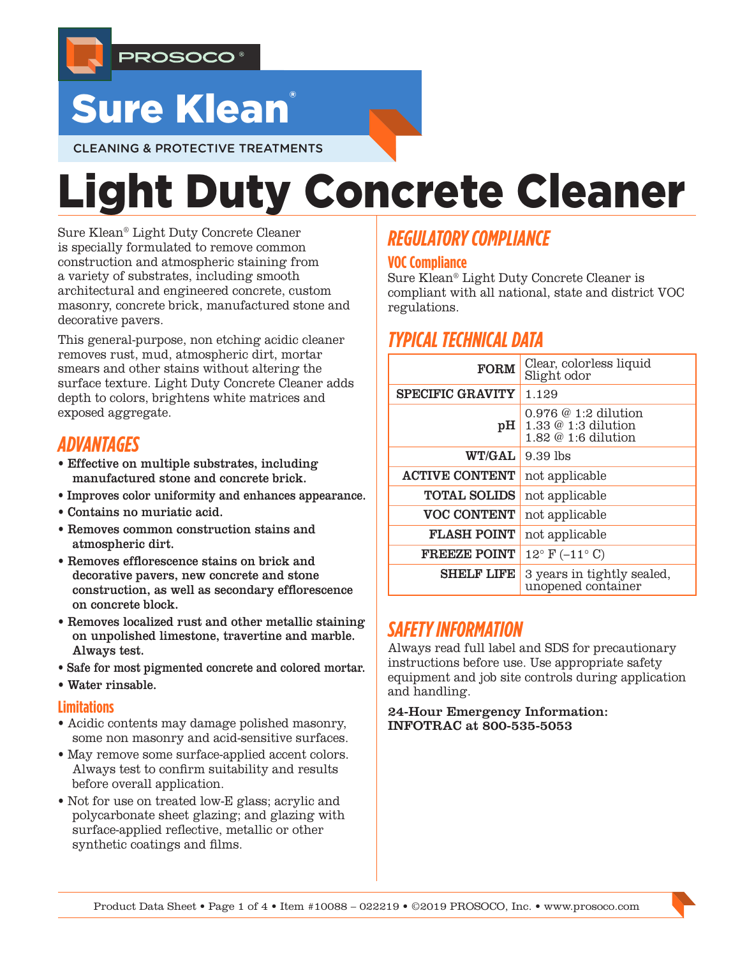

## **Sure Klean**

CLEANING & PROTECTIVE TREATMENTS

# Light Duty Concrete Cleaner

Sure Klean® Light Duty Concrete Cleaner is specially formulated to remove common construction and atmospheric staining from a variety of substrates, including smooth architectural and engineered concrete, custom masonry, concrete brick, manufactured stone and decorative pavers.

This general-purpose, non etching acidic cleaner removes rust, mud, atmospheric dirt, mortar smears and other stains without altering the surface texture. Light Duty Concrete Cleaner adds depth to colors, brightens white matrices and exposed aggregate.

## *ADVANTAGES*

- Effective on multiple substrates, including manufactured stone and concrete brick.
- Improves color uniformity and enhances appearance.
- Contains no muriatic acid.
- Removes common construction stains and atmospheric dirt.
- Removes efflorescence stains on brick and decorative pavers, new concrete and stone construction, as well as secondary efflorescence on concrete block.
- Removes localized rust and other metallic staining on unpolished limestone, travertine and marble. Always test.
- Safe for most pigmented concrete and colored mortar.
- Water rinsable.

#### **Limitations**

- Acidic contents may damage polished masonry, some non masonry and acid-sensitive surfaces.
- May remove some surface-applied accent colors. Always test to confirm suitability and results before overall application.
- Not for use on treated low-E glass; acrylic and polycarbonate sheet glazing; and glazing with surface-applied reflective, metallic or other synthetic coatings and films.

## *REGULATORY COMPLIANCE*

#### **VOC Compliance**

Sure Klean® Light Duty Concrete Cleaner is compliant with all national, state and district VOC regulations.

## *TYPICAL TECHNICAL DATA*

| <b>FORM</b>             | Clear, colorless liquid<br>Slight odor                                     |  |  |
|-------------------------|----------------------------------------------------------------------------|--|--|
| <b>SPECIFIC GRAVITY</b> | 1.129                                                                      |  |  |
| pH                      | $0.976$ @ 1:2 dilution<br>$1.33 \& 1:3$ dilution<br>$1.82 \& 1:6$ dilution |  |  |
| WT/GAL                  | $9.39$ lbs                                                                 |  |  |
| <b>ACTIVE CONTENT</b>   | not applicable                                                             |  |  |
| <b>TOTAL SOLIDS</b>     | not applicable                                                             |  |  |
| <b>VOC CONTENT</b>      | not applicable                                                             |  |  |
| <b>FLASH POINT</b>      | not applicable                                                             |  |  |
| <b>FREEZE POINT</b>     | $12^{\circ}$ F (-11 $^{\circ}$ C)                                          |  |  |
| <b>SHELF LIFE</b>       | 3 years in tightly sealed,<br>unopened container                           |  |  |

## *SAFETY INFORMATION*

Always read full label and SDS for precautionary instructions before use. Use appropriate safety equipment and job site controls during application and handling.

24-Hour Emergency Information: INFOTRAC at 800-535-5053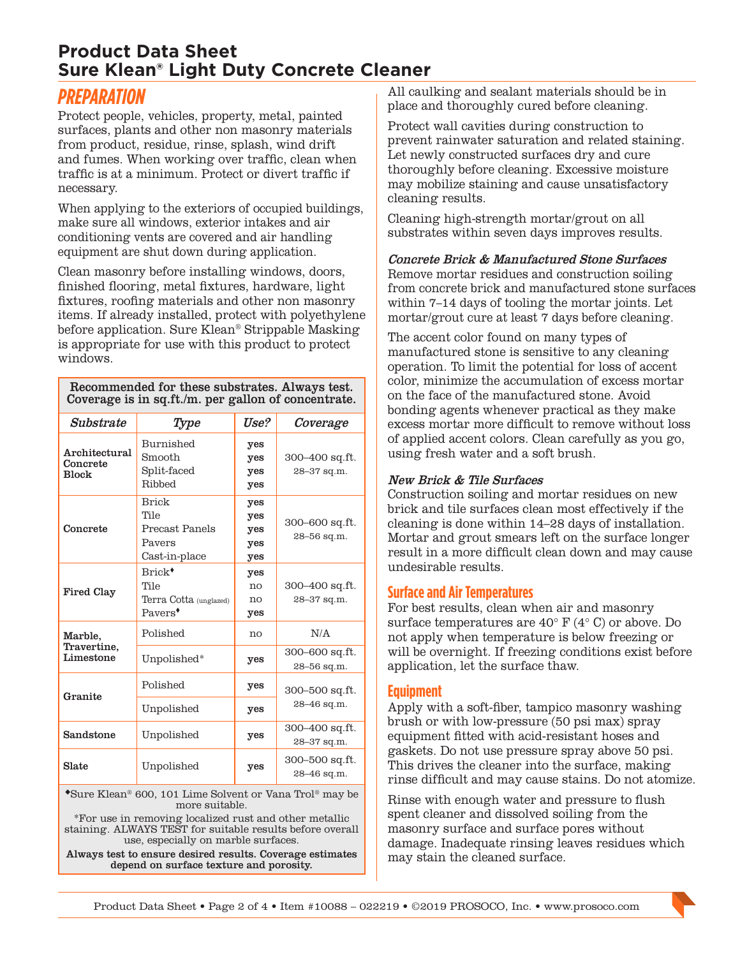## **Product Data Sheet Sure Klean® Light Duty Concrete Cleaner**

## *PREPARATION*

Protect people, vehicles, property, metal, painted surfaces, plants and other non masonry materials from product, residue, rinse, splash, wind drift and fumes. When working over traffic, clean when traffic is at a minimum. Protect or divert traffic if necessary.

When applying to the exteriors of occupied buildings, make sure all windows, exterior intakes and air conditioning vents are covered and air handling equipment are shut down during application.

Clean masonry before installing windows, doors, finished flooring, metal fixtures, hardware, light fixtures, roofing materials and other non masonry items. If already installed, protect with polyethylene before application. Sure Klean® Strippable Masking is appropriate for use with this product to protect windows.

Recommended for these substrates. Always test. Coverage is in sq.ft./m. per gallon of concentrate.

| Substrate                                 | Type                                                                        | Use?                            | Coverage                      |  |
|-------------------------------------------|-----------------------------------------------------------------------------|---------------------------------|-------------------------------|--|
| Architectural<br>Concrete<br><b>Block</b> | Burnished<br>Smooth<br>Split-faced<br>Ribbed                                | yes<br>yes<br>yes<br>yes        | 300–400 sq.ft.<br>28-37 sq.m. |  |
| Concrete                                  | <b>Brick</b><br>Tile<br>Precast Panels<br>Pavers<br>Cast-in-place           | yes<br>yes<br>yes<br>yes<br>yes | 300-600 sq.ft.<br>28-56 sq.m. |  |
| <b>Fired Clay</b>                         | Brick <sup>+</sup><br>Tile<br>Terra Cotta (unglazed)<br>Payers <sup>*</sup> | yes<br>no<br>no<br>yes          | 300–400 sq.ft.<br>28-37 sq.m. |  |
| Marble,<br>Travertine,<br>Limestone       | Polished                                                                    | no                              | N/A                           |  |
|                                           | Unpolished*                                                                 | yes                             | 300-600 sq.ft.<br>28–56 sq.m. |  |
| Granite                                   | Polished                                                                    | yes                             | 300-500 sq.ft.                |  |
|                                           | Unpolished                                                                  | 28-46 sq.m.<br>yes              |                               |  |
| Sandstone                                 | Unpolished                                                                  | yes                             | 300–400 sq.ft.<br>28-37 sq.m. |  |
| Slate                                     | Unpolished                                                                  | yes                             | 300–500 sq.ft.<br>28-46 sq.m. |  |

Sure Klean® 600, 101 Lime Solvent or Vana Trol® may be more suitable.

\*For use in removing localized rust and other metallic staining. ALWAYS TEST for suitable results before overall use, especially on marble surfaces.

Always test to ensure desired results. Coverage estimates depend on surface texture and porosity.

All caulking and sealant materials should be in place and thoroughly cured before cleaning.

Protect wall cavities during construction to prevent rainwater saturation and related staining. Let newly constructed surfaces dry and cure thoroughly before cleaning. Excessive moisture may mobilize staining and cause unsatisfactory cleaning results.

Cleaning high-strength mortar/grout on all substrates within seven days improves results.

Concrete Brick & Manufactured Stone Surfaces Remove mortar residues and construction soiling from concrete brick and manufactured stone surfaces within 7–14 days of tooling the mortar joints. Let mortar/grout cure at least 7 days before cleaning.

The accent color found on many types of manufactured stone is sensitive to any cleaning operation. To limit the potential for loss of accent color, minimize the accumulation of excess mortar on the face of the manufactured stone. Avoid bonding agents whenever practical as they make excess mortar more difficult to remove without loss of applied accent colors. Clean carefully as you go, using fresh water and a soft brush.

#### New Brick & Tile Surfaces

Construction soiling and mortar residues on new brick and tile surfaces clean most effectively if the cleaning is done within 14–28 days of installation. Mortar and grout smears left on the surface longer result in a more difficult clean down and may cause undesirable results.

#### **Surface and Air Temperatures**

For best results, clean when air and masonry surface temperatures are  $40^{\circ}$  F ( $4^{\circ}$  C) or above. Do not apply when temperature is below freezing or will be overnight. If freezing conditions exist before application, let the surface thaw.

#### **Equipment**

Apply with a soft-fiber, tampico masonry washing brush or with low-pressure (50 psi max) spray equipment fitted with acid-resistant hoses and gaskets. Do not use pressure spray above 50 psi. This drives the cleaner into the surface, making rinse difficult and may cause stains. Do not atomize.

Rinse with enough water and pressure to flush spent cleaner and dissolved soiling from the masonry surface and surface pores without damage. Inadequate rinsing leaves residues which may stain the cleaned surface.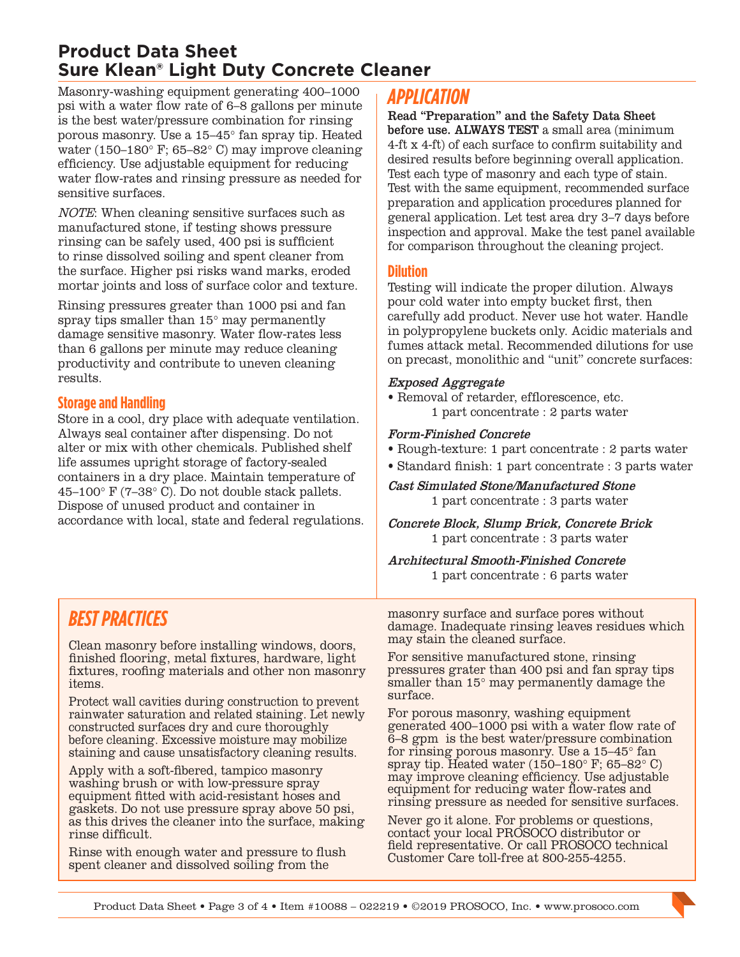## **Product Data Sheet Sure Klean® Light Duty Concrete Cleaner**

Masonry-washing equipment generating 400–1000 psi with a water flow rate of 6–8 gallons per minute is the best water/pressure combination for rinsing porous masonry. Use a 15–45° fan spray tip. Heated water (150–180° F; 65–82° C) may improve cleaning efficiency. Use adjustable equipment for reducing water flow-rates and rinsing pressure as needed for sensitive surfaces.

NOTE: When cleaning sensitive surfaces such as manufactured stone, if testing shows pressure rinsing can be safely used, 400 psi is sufficient to rinse dissolved soiling and spent cleaner from the surface. Higher psi risks wand marks, eroded mortar joints and loss of surface color and texture.

Rinsing pressures greater than 1000 psi and fan spray tips smaller than 15° may permanently damage sensitive masonry. Water flow-rates less than 6 gallons per minute may reduce cleaning productivity and contribute to uneven cleaning results.

#### **Storage and Handling**

Store in a cool, dry place with adequate ventilation. Always seal container after dispensing. Do not alter or mix with other chemicals. Published shelf life assumes upright storage of factory-sealed containers in a dry place. Maintain temperature of 45–100° F (7–38° C). Do not double stack pallets. Dispose of unused product and container in accordance with local, state and federal regulations.

## *APPLICATION*

Read "Preparation" and the Safety Data Sheet before use. ALWAYS TEST a small area (minimum 4-ft x 4-ft) of each surface to confirm suitability and desired results before beginning overall application. Test each type of masonry and each type of stain. Test with the same equipment, recommended surface preparation and application procedures planned for general application. Let test area dry 3–7 days before inspection and approval. Make the test panel available for comparison throughout the cleaning project.

#### **Dilution**

Testing will indicate the proper dilution. Always pour cold water into empty bucket first, then carefully add product. Never use hot water. Handle in polypropylene buckets only. Acidic materials and fumes attack metal. Recommended dilutions for use on precast, monolithic and "unit" concrete surfaces:

#### Exposed Aggregate

• Removal of retarder, efflorescence, etc. 1 part concentrate : 2 parts water

#### Form-Finished Concrete

- Rough-texture: 1 part concentrate : 2 parts water
- Standard finish: 1 part concentrate : 3 parts water

Cast Simulated Stone/Manufactured Stone 1 part concentrate : 3 parts water

Concrete Block, Slump Brick, Concrete Brick 1 part concentrate : 3 parts water

Architectural Smooth-Finished Concrete 1 part concentrate : 6 parts water

## *BEST PRACTICES*

Clean masonry before installing windows, doors, finished flooring, metal fixtures, hardware, light fixtures, roofing materials and other non masonry items.

Protect wall cavities during construction to prevent rainwater saturation and related staining. Let newly constructed surfaces dry and cure thoroughly before cleaning. Excessive moisture may mobilize staining and cause unsatisfactory cleaning results.

Apply with a soft-fibered, tampico masonry washing brush or with low-pressure spray equipment fitted with acid-resistant hoses and gaskets. Do not use pressure spray above 50 psi, as this drives the cleaner into the surface, making rinse difficult.

Rinse with enough water and pressure to flush spent cleaner and dissolved soiling from the

masonry surface and surface pores without damage. Inadequate rinsing leaves residues which may stain the cleaned surface.

For sensitive manufactured stone, rinsing pressures grater than 400 psi and fan spray tips smaller than 15° may permanently damage the surface.

For porous masonry, washing equipment generated 400–1000 psi with a water flow rate of 6–8 gpm is the best water/pressure combination for rinsing porous masonry. Use a 15–45° fan spray tip. Heated water (150–180° F; 65–82° C) may improve cleaning efficiency. Use adjustable equipment for reducing water flow-rates and rinsing pressure as needed for sensitive surfaces.

Never go it alone. For problems or questions, contact your local PROSOCO distributor or field representative. Or call PROSOCO technical Customer Care toll-free at 800-255-4255.